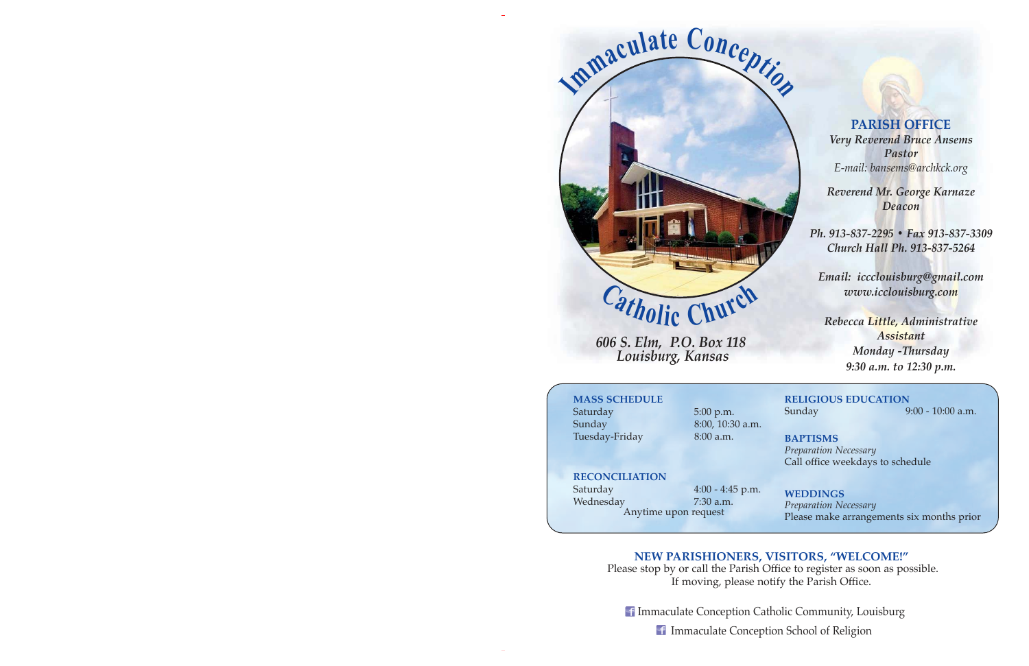

*606 S. Elm, P.O. Box 118 Louisburg, Kansas* 

**PARISH OFFICE** *Very Reverend Bruce Ansems Pastor E-mail: bansems@archkck.org*

*Reverend Mr. George Karnaze Deacon*

*Ph. 913-837-2295 ï Fax 913-837-3309 Church Hall Ph. 913-837-5264* 

*Email: iccclouisburg@gmail.com www.icclouisburg.com* 

*Rebecca Little, Administrative Assistant Monday -Thursday 9:30 a.m. to 12:30 p.m.* 

## **MASS SCHEDULE**

Saturday 5:00 p.m. Sunday 8:00, 10:30 a.m. Tuesday-Friday 8:00 a.m.

# **RELIGIOUS EDUCATION** Sunday 9:00 - 10:00 a.m.

**BAPTISMS** *Preparation Necessary*  Call office weekdays to schedule

**RECONCILIATION**

Wednesday 7:30 a.m.

Saturday 4:00 - 4:45 p.m. Anytime upon request

**WEDDINGS** *Preparation Necessary*  Please make arrangements six months prior

# **NEW PARISHIONERS, VISITORS, "WELCOME!"**

 Please stop by or call the Parish Office to register as soon as possible. If moving, please notify the Parish Office.

**If Immaculate Conception Catholic Community, Louisburg** 

Immaculate Conception School of Religion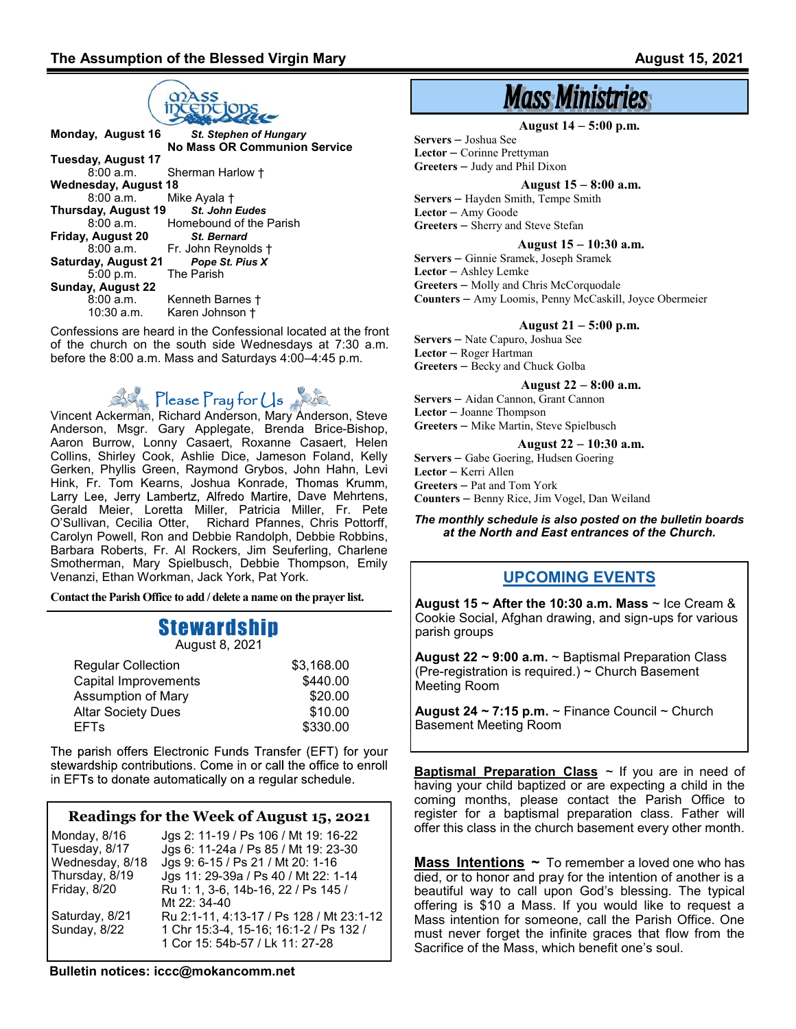

| Monday, August 16    | <b>St. Stephen of Hungary</b>       |  |  |  |
|----------------------|-------------------------------------|--|--|--|
|                      | <b>No Mass OR Communion Service</b> |  |  |  |
| Tuesday, August 17   |                                     |  |  |  |
| 8:00a.m.             | Sherman Harlow †                    |  |  |  |
| Wednesday, August 18 |                                     |  |  |  |
| 8:00a.m.             | Mike Ayala †                        |  |  |  |
| Thursday, August 19  | <b>St. John Eudes</b>               |  |  |  |
| 8:00a.m.             | Homebound of the Parish             |  |  |  |
| Friday, August 20    | <b>St. Bernard</b>                  |  |  |  |
| 8:00a.m.             | Fr. John Reynolds +                 |  |  |  |
| Saturday, August 21  | Pope St. Pius X                     |  |  |  |
| 5:00 p.m.            | The Parish                          |  |  |  |
| Sunday, August 22    |                                     |  |  |  |
| 8:00a.m.             | Kenneth Barnes †                    |  |  |  |
| $10:30$ a.m.         | Karen Johnson †                     |  |  |  |
|                      |                                     |  |  |  |

Confessions are heard in the Confessional located at the front of the church on the south side Wednesdays at 7:30 a.m. before the 8:00 a.m. Mass and Saturdays 4:00–4:45 p.m.

**Please Pray for Us** 

Vincent Ackerman, Richard Anderson, Mary Anderson, Steve Anderson, Msgr. Gary Applegate, Brenda Brice-Bishop, Aaron Burrow, Lonny Casaert, Roxanne Casaert, Helen Collins, Shirley Cook, Ashlie Dice, Jameson Foland, Kelly Gerken, Phyllis Green, Raymond Grybos, John Hahn, Levi Hink, Fr. Tom Kearns, Joshua Konrade, Larry Lee, Jerry Lambertz, Alfredo Martire, Dave Mehrtens, Gerald Meier, Loretta Miller, Patricia Miller, Fr. Pete O'Sullivan, Cecilia Otter, Richard Pfannes, Chris Pottorff, Carolyn Powell, Ron and Debbie Randolph, Debbie Robbins, Barbara Roberts, Fr. Al Rockers, Jim Seuferling, Charlene Smotherman, Mary Spielbusch, Debbie Thompson, Emily Venanzi, Ethan Workman, Jack York, Pat York.

**Contact the Parish Office to add / delete a name on the prayer list.**

# Stewardship

August 8, 2021

| <b>Regular Collection</b> | \$3,168.00 |
|---------------------------|------------|
| Capital Improvements      | \$440.00   |
| Assumption of Mary        | \$20.00    |
| <b>Altar Society Dues</b> | \$10.00    |
| <b>EFTs</b>               | \$330.00   |
|                           |            |

The parish offers Electronic Funds Transfer (EFT) for your stewardship contributions. Come in or call the office to enroll in EFTs to donate automatically on a regular schedule.

#### **Readings for the Week of August 15, 2021**

| Monday, 8/16    | Jgs 2: 11-19 / Ps 106 / Mt 19: 16-22     |
|-----------------|------------------------------------------|
| Tuesday, 8/17   | Jgs 6: 11-24a / Ps 85 / Mt 19: 23-30     |
| Wednesday, 8/18 | Jgs 9: 6-15 / Ps 21 / Mt 20: 1-16        |
| Thursday, 8/19  | Jgs 11: 29-39a / Ps 40 / Mt 22: 1-14     |
| Friday, 8/20    | Ru 1: 1, 3-6, 14b-16, 22 / Ps 145 /      |
|                 | Mt 22: 34-40                             |
| Saturday, 8/21  | Ru 2:1-11, 4:13-17 / Ps 128 / Mt 23:1-12 |
| Sunday, 8/22    | 1 Chr 15:3-4, 15-16; 16:1-2 / Ps 132 /   |
|                 | 1 Cor 15: 54b-57 / Lk 11: 27-28          |

**Bulletin notices: iccc@mokancomm.net** 

# **Mass Ministries**

**August 14** – **5:00 p.m.**

**Servers** – Joshua See

**Lector** – Corinne Prettyman

**Greeters** – Judy and Phil Dixon

 **August 15** – **8:00 a.m.**

**Servers** – Hayden Smith, Tempe Smith **Lector** – Amy Goode **Greeters** – Sherry and Steve Stefan

**August 15** – **10:30 a.m.**

**Servers** – Ginnie Sramek, Joseph Sramek

**Lector** – Ashley Lemke

**Greeters** – Molly and Chris McCorquodale **Counters** – Amy Loomis, Penny McCaskill, Joyce Obermeier

#### **August 21** – **5:00 p.m.**

**Servers** – Nate Capuro, Joshua See **Lector** – Roger Hartman **Greeters** – Becky and Chuck Golba

**August 22** – **8:00 a.m.**

**Servers** – Aidan Cannon, Grant Cannon **Lector** – Joanne Thompson

**Greeters** – Mike Martin, Steve Spielbusch

**August 22** – **10:30 a.m.**

**Servers** – Gabe Goering, Hudsen Goering **Lector** – Kerri Allen **Greeters** – Pat and Tom York **Counters** – Benny Rice, Jim Vogel, Dan Weiland

#### *The monthly schedule is also posted on the bulletin boards at the North and East entrances of the Church.*

## **UPCOMING EVENTS**

**August 15 ~ After the 10:30 a.m. Mass** ~ Ice Cream & Cookie Social, Afghan drawing, and sign-ups for various parish groups

**August 22 ~ 9:00 a.m.** ~ Baptismal Preparation Class (Pre-registration is required.) ~ Church Basement Meeting Room

**August 24 ~ 7:15 p.m.** ~ Finance Council ~ Church Basement Meeting Room

**Baptismal Preparation Class** ~ If you are in need of having your child baptized or are expecting a child in the coming months, please contact the Parish Office to register for a baptismal preparation class. Father will offer this class in the church basement every other month.

Mass Intentions ~ To remember a loved one who has died, or to honor and pray for the intention of another is a beautiful way to call upon God's blessing. The typical offering is \$10 a Mass. If you would like to request a Mass intention for someone, call the Parish Office. One must never forget the infinite graces that flow from the Sacrifice of the Mass, which benefit one's soul.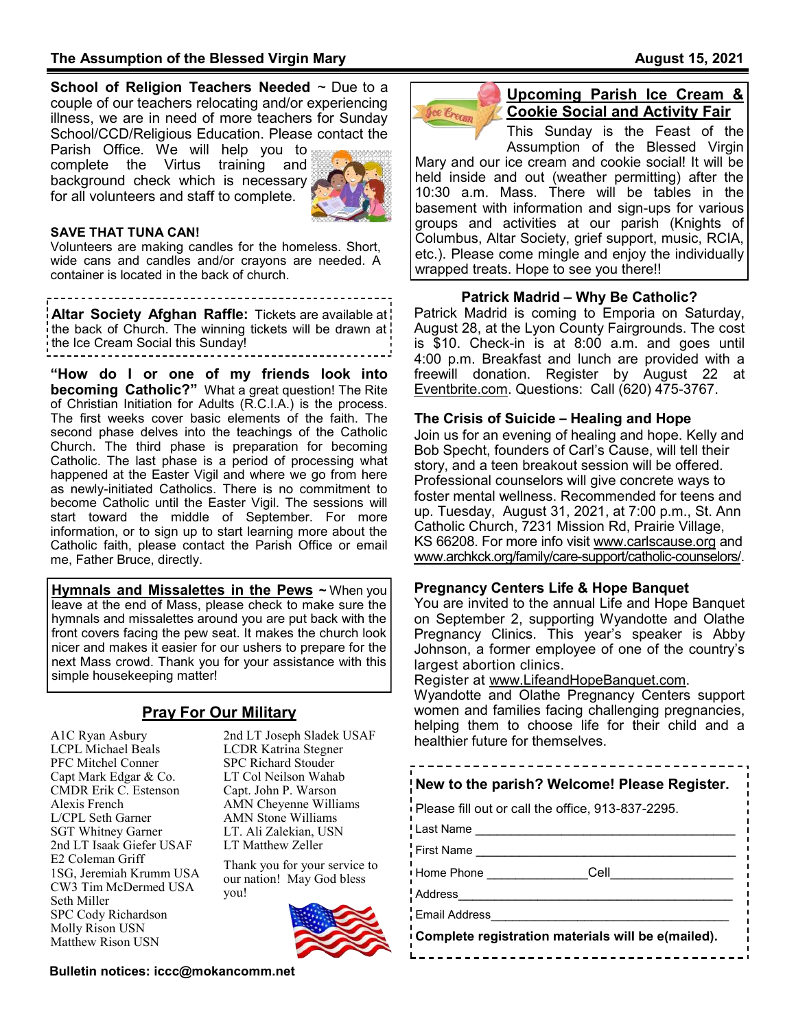**School of Religion Teachers Needed** ~ Due to a couple of our teachers relocating and/or experiencing illness, we are in need of more teachers for Sunday School/CCD/Religious Education. Please contact the

Parish Office. We will help you to complete the Virtus training and background check which is necessary for all volunteers and staff to complete.



#### **SAVE THAT TUNA CAN!**

Volunteers are making candles for the homeless. Short, wide cans and candles and/or crayons are needed. A container is located in the back of church.

**Altar Society Afghan Raffle:** Tickets are available at a the back of Church. The winning tickets will be drawn at the Ice Cream Social this Sunday!

**"How do I or one of my friends look into becoming Catholic?"** What a great question! The Rite of Christian Initiation for Adults (R.C.I.A.) is the process. The first weeks cover basic elements of the faith. The second phase delves into the teachings of the Catholic Church. The third phase is preparation for becoming Catholic. The last phase is a period of processing what happened at the Easter Vigil and where we go from here as newly-initiated Catholics. There is no commitment to become Catholic until the Easter Vigil. The sessions will start toward the middle of September. For more information, or to sign up to start learning more about the Catholic faith, please contact the Parish Office or email me, Father Bruce, directly.

**Hymnals and Missalettes in the Pews ~** When you leave at the end of Mass, please check to make sure the hymnals and missalettes around you are put back with the front covers facing the pew seat. It makes the church look nicer and makes it easier for our ushers to prepare for the next Mass crowd. Thank you for your assistance with this simple housekeeping matter!

## **Pray For Our Military**

A1C Ryan Asbury LCPL Michael Beals PFC Mitchel Conner Capt Mark Edgar & Co. CMDR Erik C. Estenson Alexis French L/CPL Seth Garner SGT Whitney Garner 2nd LT Isaak Giefer USAF E2 Coleman Griff 1SG, Jeremiah Krumm USA CW3 Tim McDermed USA Seth Miller SPC Cody Richardson Molly Rison USN Matthew Rison USN

2nd LT Joseph Sladek USAF LCDR Katrina Stegner SPC Richard Stouder LT Col Neilson Wahab Capt. John P. Warson AMN Cheyenne Williams AMN Stone Williams LT. Ali Zalekian, USN LT Matthew Zeller

Thank you for your service to our nation! May God bless you!



**Bulletin notices: iccc@mokancomm.net** 



#### **Upcoming Parish Ice Cream & Cookie Social and Activity Fair**

This Sunday is the Feast of the Assumption of the Blessed Virgin Mary and our ice cream and cookie social! It will be held inside and out (weather permitting) after the 10:30 a.m. Mass. There will be tables in the basement with information and sign-ups for various groups and activities at our parish (Knights of Columbus, Altar Society, grief support, music, RCIA, etc.). Please come mingle and enjoy the individually wrapped treats. Hope to see you there!!

#### **Patrick Madrid – Why Be Catholic?**

Patrick Madrid is coming to Emporia on Saturday, August 28, at the Lyon County Fairgrounds. The cost is \$10. Check-in is at 8:00 a.m. and goes until 4:00 p.m. Breakfast and lunch are provided with a freewill donation. Register by August 22 at Eventbrite.com. Questions: Call (620) 475-3767.

#### **The Crisis of Suicide – Healing and Hope**

Join us for an evening of healing and hope. Kelly and Bob Specht, founders of Carl's Cause, will tell their story, and a teen breakout session will be offered. Professional counselors will give concrete ways to foster mental wellness. Recommended for teens and up. Tuesday, August 31, 2021, at 7:00 p.m., St. Ann Catholic Church, 7231 Mission Rd, Prairie Village, KS 66208. For more info visit www.carlscause.org and www.archkck.org/family/care-support/catholic-counselors/.

#### **Pregnancy Centers Life & Hope Banquet**

You are invited to the annual Life and Hope Banquet on September 2, supporting Wyandotte and Olathe Pregnancy Clinics. This year's speaker is Abby Johnson, a former employee of one of the country's largest abortion clinics.

Register at www.LifeandHopeBanquet.com.

Wyandotte and Olathe Pregnancy Centers support women and families facing challenging pregnancies, helping them to choose life for their child and a healthier future for themselves.

------------------------------

| New to the parish? Welcome! Please Register.        |  |  |  |  |
|-----------------------------------------------------|--|--|--|--|
| I Please fill out or call the office, 913-837-2295. |  |  |  |  |
| <sup>I</sup> Last Name                              |  |  |  |  |
| First Name                                          |  |  |  |  |
| Cell<br>I Home Phone                                |  |  |  |  |
| <b>Address</b>                                      |  |  |  |  |
| Email Address                                       |  |  |  |  |

**Complete registration materials will be e(mailed).**